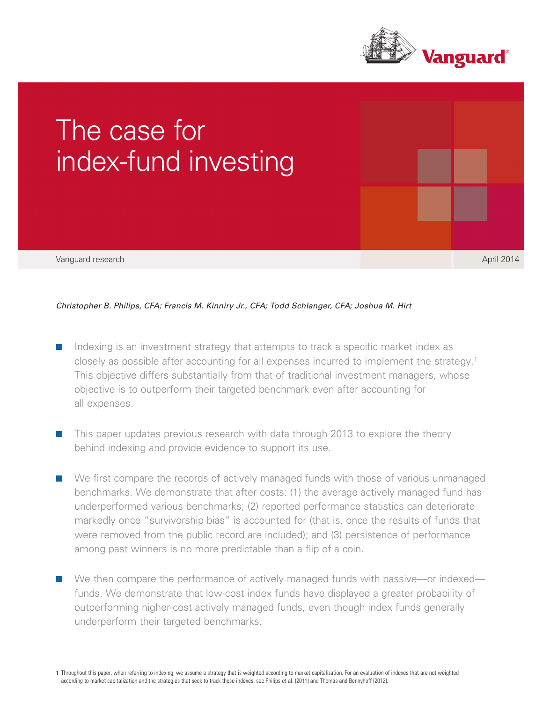



# *Christopher B. Philips, CFA; Francis M. Kinniry Jr., CFA; Todd Schlanger, CFA; Joshua M. Hirt*

- Indexing is an investment strategy that attempts to track a specific market index as closely as possible after accounting for all expenses incurred to implement the strategy.1 This objective differs substantially from that of traditional investment managers, whose objective is to outperform their targeted benchmark even after accounting for all expenses.
- This paper updates previous research with data through 2013 to explore the theory behind indexing and provide evidence to support its use.
- We first compare the records of actively managed funds with those of various unmanaged benchmarks. We demonstrate that after costs: (1) the average actively managed fund has underperformed various benchmarks; (2) reported performance statistics can deteriorate markedly once "survivorship bias" is accounted for (that is, once the results of funds that were removed from the public record are included); and (3) persistence of performance among past winners is no more predictable than a flip of a coin.
- We then compare the performance of actively managed funds with passive—or indexed funds. We demonstrate that low-cost index funds have displayed a greater probability of outperforming higher-cost actively managed funds, even though index funds generally underperform their targeted benchmarks.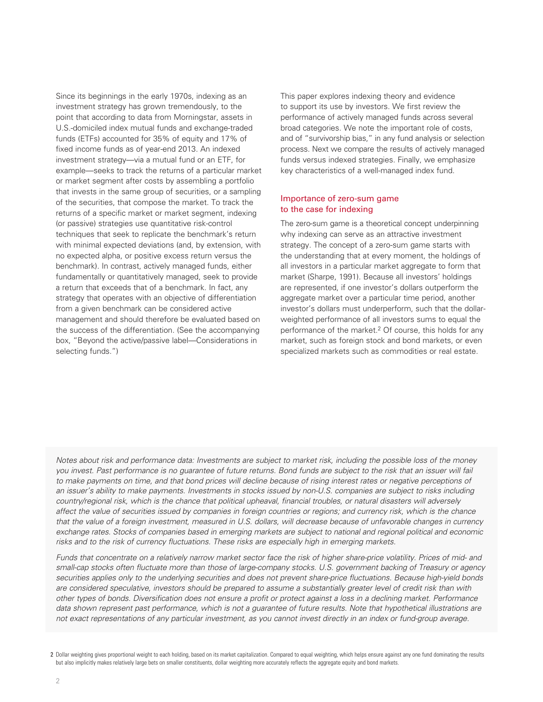Since its beginnings in the early 1970s, indexing as an investment strategy has grown tremendously, to the point that according to data from Morningstar, assets in U.S.-domiciled index mutual funds and exchange-traded funds (ETFs) accounted for 35% of equity and 17% of fixed income funds as of year-end 2013. An indexed investment strategy—via a mutual fund or an ETF, for example—seeks to track the returns of a particular market or market segment after costs by assembling a portfolio that invests in the same group of securities, or a sampling of the securities, that compose the market. To track the returns of a specific market or market segment, indexing (or passive) strategies use quantitative risk-control techniques that seek to replicate the benchmark's return with minimal expected deviations (and, by extension, with no expected alpha, or positive excess return versus the benchmark). In contrast, actively managed funds, either fundamentally or quantitatively managed, seek to provide a return that exceeds that of a benchmark. In fact, any strategy that operates with an objective of differentiation from a given benchmark can be considered active management and should therefore be evaluated based on the success of the differentiation. (See the accompanying box, "Beyond the active/passive label—Considerations in selecting funds.")

This paper explores indexing theory and evidence to support its use by investors. We first review the performance of actively managed funds across several broad categories. We note the important role of costs, and of "survivorship bias," in any fund analysis or selection process. Next we compare the results of actively managed funds versus indexed strategies. Finally, we emphasize key characteristics of a well-managed index fund.

# Importance of zero-sum game to the case for indexing

The zero-sum game is a theoretical concept underpinning why indexing can serve as an attractive investment strategy. The concept of a zero-sum game starts with the understanding that at every moment, the holdings of all investors in a particular market aggregate to form that market (Sharpe, 1991). Because all investors' holdings are represented, if one investor's dollars outperform the aggregate market over a particular time period, another investor's dollars must underperform, such that the dollarweighted performance of all investors sums to equal the performance of the market.2 Of course, this holds for any market, such as foreign stock and bond markets, or even specialized markets such as commodities or real estate.

*Notes about risk and performance data: Investments are subject to market risk, including the possible loss of the money you invest. Past performance is no guarantee of future returns. Bond funds are subject to the risk that an issuer will fail*  to make payments on time, and that bond prices will decline because of rising interest rates or negative perceptions of *an issuer's ability to make payments. Investments in stocks issued by non-U.S. companies are subject to risks including country/regional risk, which is the chance that political upheaval, financial troubles, or natural disasters will adversely affect the value of securities issued by companies in foreign countries or regions; and currency risk, which is the chance that the value of a foreign investment, measured in U.S. dollars, will decrease because of unfavorable changes in currency exchange rates. Stocks of companies based in emerging markets are subject to national and regional political and economic risks and to the risk of currency fluctuations. These risks are especially high in emerging markets.* 

*Funds that concentrate on a relatively narrow market sector face the risk of higher share-price volatility. Prices of mid- and small-cap stocks often fluctuate more than those of large-company stocks. U.S. government backing of Treasury or agency securities applies only to the underlying securities and does not prevent share-price fluctuations. Because high-yield bonds are considered speculative, investors should be prepared to assume a substantially greater level of credit risk than with other types of bonds. Diversification does not ensure a profit or protect against a loss in a declining market. Performance data shown represent past performance, which is not a guarantee of future results. Note that hypothetical illustrations are not exact representations of any particular investment, as you cannot invest directly in an index or fund-group average.*

<sup>2</sup> Dollar weighting gives proportional weight to each holding, based on its market capitalization. Compared to equal weighting, which helps ensure against any one fund dominating the results but also implicitly makes relatively large bets on smaller constituents, dollar weighting more accurately reflects the aggregate equity and bond markets.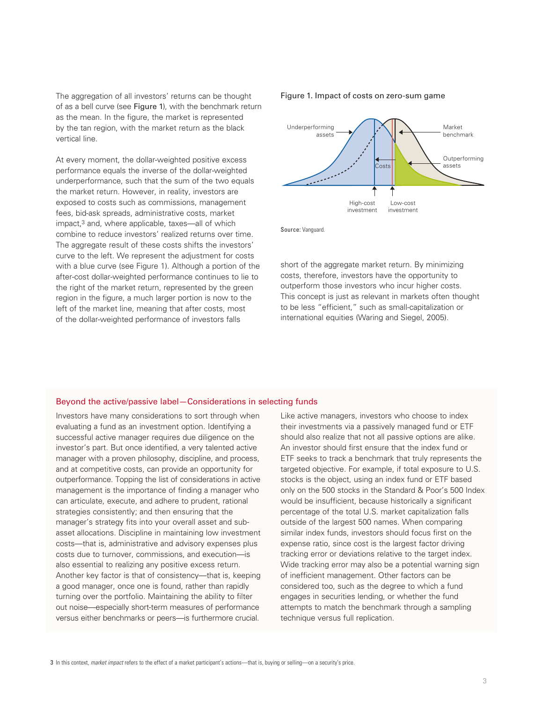The aggregation of all investors' returns can be thought of as a bell curve (see Figure 1), with the benchmark return as the mean. In the figure, the market is represented by the tan region, with the market return as the black vertical line.

At every moment, the dollar-weighted positive excess performance equals the inverse of the dollar-weighted underperformance, such that the sum of the two equals the market return. However, in reality, investors are exposed to costs such as commissions, management fees, bid-ask spreads, administrative costs, market impact,3 and, where applicable, taxes—all of which combine to reduce investors' realized returns over time. The aggregate result of these costs shifts the investors' curve to the left. We represent the adjustment for costs with a blue curve (see Figure 1). Although a portion of the after-cost dollar-weighted performance continues to lie to the right of the market return, represented by the green region in the figure, a much larger portion is now to the left of the market line, meaning that after costs, most of the dollar-weighted performance of investors falls

### Figure 1. Impact of costs on zero-sum game



Source: Vanguard.

short of the aggregate market return. By minimizing costs, therefore, investors have the opportunity to outperform those investors who incur higher costs. This concept is just as relevant in markets often thought to be less "efficient," such as small-capitalization or international equities (Waring and Siegel, 2005).

### Beyond the active/passive label—Considerations in selecting funds

Investors have many considerations to sort through when evaluating a fund as an investment option. Identifying a successful active manager requires due diligence on the investor's part. But once identified, a very talented active manager with a proven philosophy, discipline, and process, and at competitive costs, can provide an opportunity for outperformance. Topping the list of considerations in active management is the importance of finding a manager who can articulate, execute, and adhere to prudent, rational strategies consistently; and then ensuring that the manager's strategy fits into your overall asset and subasset allocations. Discipline in maintaining low investment costs—that is, administrative and advisory expenses plus costs due to turnover, commissions, and execution—is also essential to realizing any positive excess return. Another key factor is that of consistency—that is, keeping a good manager, once one is found, rather than rapidly turning over the portfolio. Maintaining the ability to filter out noise—especially short-term measures of performance versus either benchmarks or peers—is furthermore crucial.

Like active managers, investors who choose to index their investments via a passively managed fund or ETF should also realize that not all passive options are alike. An investor should first ensure that the index fund or ETF seeks to track a benchmark that truly represents the targeted objective. For example, if total exposure to U.S. stocks is the object, using an index fund or ETF based only on the 500 stocks in the Standard & Poor's 500 Index would be insufficient, because historically a significant percentage of the total U.S. market capitalization falls outside of the largest 500 names. When comparing similar index funds, investors should focus first on the expense ratio, since cost is the largest factor driving tracking error or deviations relative to the target index. Wide tracking error may also be a potential warning sign of inefficient management. Other factors can be considered too, such as the degree to which a fund engages in securities lending, or whether the fund attempts to match the benchmark through a sampling technique versus full replication.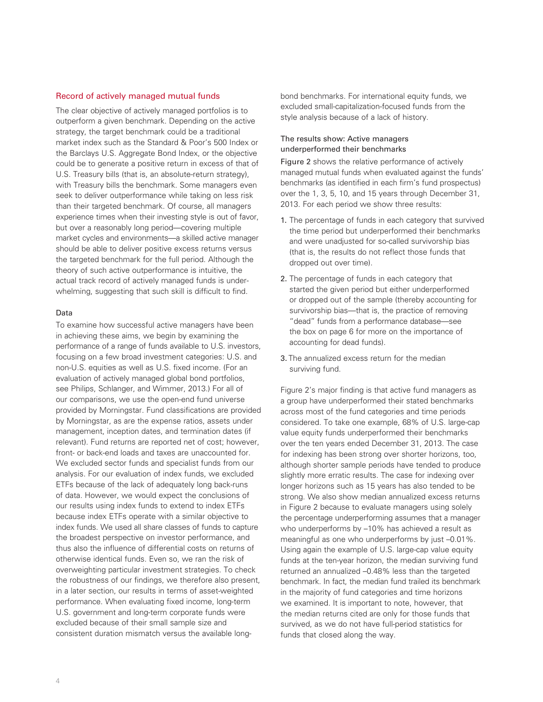### Record of actively managed mutual funds

The clear objective of actively managed portfolios is to outperform a given benchmark. Depending on the active strategy, the target benchmark could be a traditional market index such as the Standard & Poor's 500 Index or the Barclays U.S. Aggregate Bond Index, or the objective could be to generate a positive return in excess of that of U.S. Treasury bills (that is, an absolute-return strategy), with Treasury bills the benchmark. Some managers even seek to deliver outperformance while taking on less risk than their targeted benchmark. Of course, all managers experience times when their investing style is out of favor, but over a reasonably long period—covering multiple market cycles and environments—a skilled active manager should be able to deliver positive excess returns versus the targeted benchmark for the full period. Although the theory of such active outperformance is intuitive, the actual track record of actively managed funds is underwhelming, suggesting that such skill is difficult to find.

#### Data

To examine how successful active managers have been in achieving these aims, we begin by examining the performance of a range of funds available to U.S. investors, focusing on a few broad investment categories: U.S. and non-U.S. equities as well as U.S. fixed income. (For an evaluation of actively managed global bond portfolios, see Philips, Schlanger, and Wimmer, 2013.) For all of our comparisons, we use the open-end fund universe provided by Morningstar. Fund classifications are provided by Morningstar, as are the expense ratios, assets under management, inception dates, and termination dates (if relevant). Fund returns are reported net of cost; however, front- or back-end loads and taxes are unaccounted for. We excluded sector funds and specialist funds from our analysis. For our evaluation of index funds, we excluded ETFs because of the lack of adequately long back-runs of data. However, we would expect the conclusions of our results using index funds to extend to index ETFs because index ETFs operate with a similar objective to index funds. We used all share classes of funds to capture the broadest perspective on investor performance, and thus also the influence of differential costs on returns of otherwise identical funds. Even so, we ran the risk of overweighting particular investment strategies. To check the robustness of our findings, we therefore also present, in a later section, our results in terms of asset-weighted performance. When evaluating fixed income, long-term U.S. government and long-term corporate funds were excluded because of their small sample size and consistent duration mismatch versus the available longbond benchmarks. For international equity funds, we excluded small-capitalization-focused funds from the style analysis because of a lack of history.

# The results show: Active managers underperformed their benchmarks

Figure 2 shows the relative performance of actively managed mutual funds when evaluated against the funds' benchmarks (as identified in each firm's fund prospectus) over the 1, 3, 5, 10, and 15 years through December 31, 2013. For each period we show three results:

- 1. The percentage of funds in each category that survived the time period but underperformed their benchmarks and were unadjusted for so-called survivorship bias (that is, the results do not reflect those funds that dropped out over time).
- 2. The percentage of funds in each category that started the given period but either underperformed or dropped out of the sample (thereby accounting for survivorship bias—that is, the practice of removing "dead" funds from a performance database—see the box on page 6 for more on the importance of accounting for dead funds).
- 3. The annualized excess return for the median surviving fund.

Figure 2's major finding is that active fund managers as a group have underperformed their stated benchmarks across most of the fund categories and time periods considered. To take one example, 68% of U.S. large-cap value equity funds underperformed their benchmarks over the ten years ended December 31, 2013. The case for indexing has been strong over shorter horizons, too, although shorter sample periods have tended to produce slightly more erratic results. The case for indexing over longer horizons such as 15 years has also tended to be strong. We also show median annualized excess returns in Figure 2 because to evaluate managers using solely the percentage underperforming assumes that a manager who underperforms by  $-10\%$  has achieved a result as meaningful as one who underperforms by just –0.01%. Using again the example of U.S. large-cap value equity funds at the ten-year horizon, the median surviving fund returned an annualized –0.48% less than the targeted benchmark. In fact, the median fund trailed its benchmark in the majority of fund categories and time horizons we examined. It is important to note, however, that the median returns cited are only for those funds that survived, as we do not have full-period statistics for funds that closed along the way.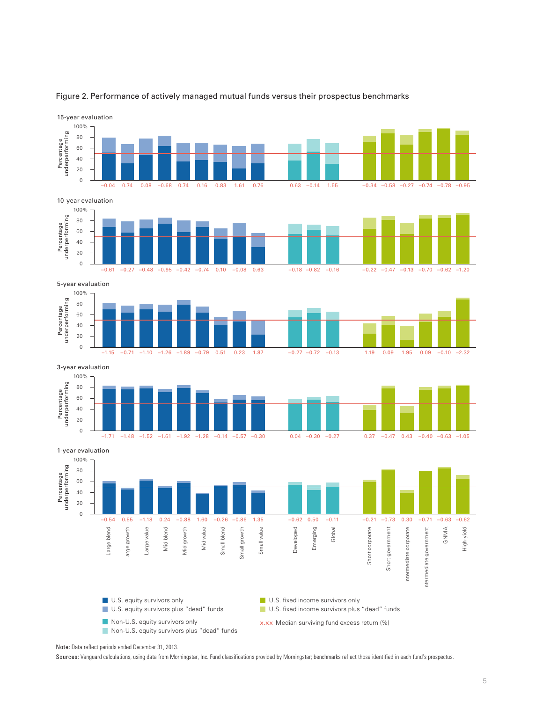

### Figure 2. Performance of actively managed mutual funds versus their prospectus benchmarks

Note: Data reflect periods ended December 31, 2013.

Sources: Vanguard calculations, using data from Morningstar, Inc. Fund classifications provided by Morningstar; benchmarks reflect those identified in each fund's prospectus.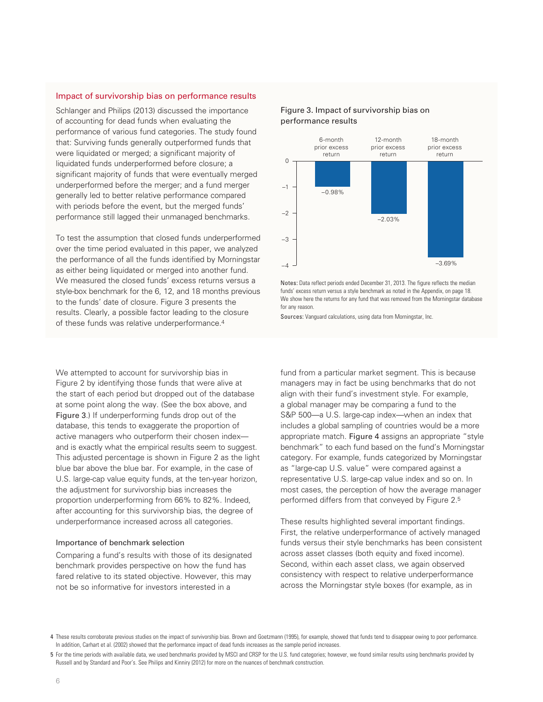### Impact of survivorship bias on performance results

Schlanger and Philips (2013) discussed the importance of accounting for dead funds when evaluating the performance of various fund categories. The study found that: Surviving funds generally outperformed funds that were liquidated or merged; a significant majority of liquidated funds underperformed before closure; a significant majority of funds that were eventually merged underperformed before the merger; and a fund merger generally led to better relative performance compared with periods before the event, but the merged funds' performance still lagged their unmanaged benchmarks.

To test the assumption that closed funds underperformed over the time period evaluated in this paper, we analyzed the performance of all the funds identified by Morningstar as either being liquidated or merged into another fund. We measured the closed funds' excess returns versus a style-box benchmark for the 6, 12, and 18 months previous to the funds' date of closure. Figure 3 presents the results. Clearly, a possible factor leading to the closure of these funds was relative underperformance.4

We attempted to account for survivorship bias in Figure 2 by identifying those funds that were alive at the start of each period but dropped out of the database at some point along the way. (See the box above, and Figure 3.) If underperforming funds drop out of the database, this tends to exaggerate the proportion of active managers who outperform their chosen index and is exactly what the empirical results seem to suggest. This adjusted percentage is shown in Figure 2 as the light blue bar above the blue bar. For example, in the case of U.S. large-cap value equity funds, at the ten-year horizon, the adjustment for survivorship bias increases the proportion underperforming from 66% to 82%. Indeed, after accounting for this survivorship bias, the degree of underperformance increased across all categories.

### Importance of benchmark selection

Comparing a fund's results with those of its designated benchmark provides perspective on how the fund has fared relative to its stated objective. However, this may not be so informative for investors interested in a

## Figure 3. Impact of survivorship bias on performance results



Notes: Data reflect periods ended December 31, 2013. The figure reflects the median funds' excess return versus a style benchmark as noted in the Appendix, on page 18. We show here the returns for any fund that was removed from the Morningstar database for any reason.

Sources: Vanguard calculations, using data from Morningstar, Inc.

fund from a particular market segment. This is because managers may in fact be using benchmarks that do not align with their fund's investment style. For example, a global manager may be comparing a fund to the S&P 500—a U.S. large-cap index—when an index that includes a global sampling of countries would be a more appropriate match. Figure 4 assigns an appropriate "style benchmark" to each fund based on the fund's Morningstar category. For example, funds categorized by Morningstar as "large-cap U.S. value" were compared against a representative U.S. large-cap value index and so on. In most cases, the perception of how the average manager performed differs from that conveyed by Figure 2.5

These results highlighted several important findings. First, the relative underperformance of actively managed funds versus their style benchmarks has been consistent across asset classes (both equity and fixed income). Second, within each asset class, we again observed consistency with respect to relative underperformance across the Morningstar style boxes (for example, as in

<sup>4</sup> These results corroborate previous studies on the impact of survivorship bias. Brown and Goetzmann (1995), for example, showed that funds tend to disappear owing to poor performance. In addition, Carhart et al. (2002) showed that the performance impact of dead funds increases as the sample period increases.

<sup>5</sup> For the time periods with available data, we used benchmarks provided by MSCI and CRSP for the U.S. fund categories; however, we found similar results using benchmarks provided by Russell and by Standard and Poor's. See Philips and Kinniry (2012) for more on the nuances of benchmark construction.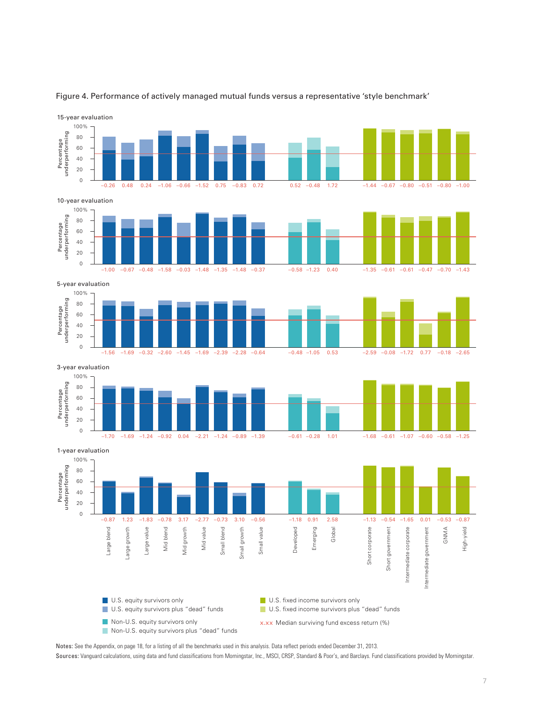

#### Figure 4. Performance of actively managed mutual funds versus a representative 'style benchmark'

Notes: See the Appendix, on page 18, for a listing of all the benchmarks used in this analysis. Data reflect periods ended December 31, 2013.

Sources: Vanguard calculations, using data and fund classifications from Morningstar, Inc., MSCI, CRSP, Standard & Poor's, and Barclays. Fund classifications provided by Morningstar.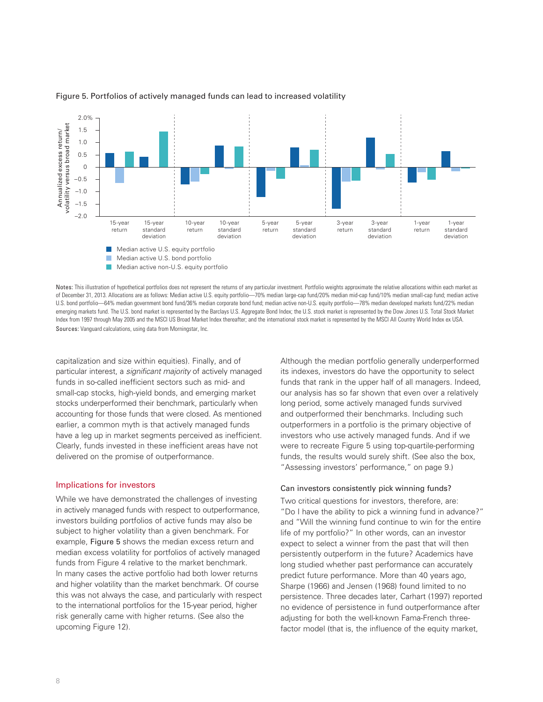

### Figure 5. Portfolios of actively managed funds can lead to increased volatility

Notes: This illustration of hypothetical portfolios does not represent the returns of any particular investment. Portfolio weights approximate the relative allocations within each market as of December 31, 2013. Allocations are as follows: Median active U.S. equity portfolio—70% median large-cap fund/20% median mid-cap fund/10% median small-cap fund; median active U.S. bond portfolio—64% median government bond fund/36% median corporate bond fund; median active non-U.S. equity portfolio—78% median developed markets fund/22% median emerging markets fund. The U.S. bond market is represented by the Barclays U.S. Aggregate Bond Index; the U.S. stock market is represented by the Dow Jones U.S. Total Stock Market Index from 1997 through May 2005 and the MSCI US Broad Market Index thereafter; and the international stock market is represented by the MSCI All Country World Index ex USA. Sources: Vanguard calculations, using data from Morningstar, Inc.

capitalization and size within equities). Finally, and of particular interest, a *significant majority* of actively managed funds in so-called inefficient sectors such as mid- and small-cap stocks, high-yield bonds, and emerging market stocks underperformed their benchmark, particularly when accounting for those funds that were closed. As mentioned earlier, a common myth is that actively managed funds have a leg up in market segments perceived as inefficient. Clearly, funds invested in these inefficient areas have not delivered on the promise of outperformance.

## Implications for investors

While we have demonstrated the challenges of investing in actively managed funds with respect to outperformance, investors building portfolios of active funds may also be subject to higher volatility than a given benchmark. For example, Figure 5 shows the median excess return and median excess volatility for portfolios of actively managed funds from Figure 4 relative to the market benchmark. In many cases the active portfolio had both lower returns and higher volatility than the market benchmark. Of course this was not always the case, and particularly with respect to the international portfolios for the 15-year period, higher risk generally came with higher returns. (See also the upcoming Figure 12).

Although the median portfolio generally underperformed its indexes, investors do have the opportunity to select funds that rank in the upper half of all managers. Indeed, our analysis has so far shown that even over a relatively long period, some actively managed funds survived and outperformed their benchmarks. Including such outperformers in a portfolio is the primary objective of investors who use actively managed funds. And if we were to recreate Figure 5 using top-quartile-performing funds, the results would surely shift. (See also the box, "Assessing investors' performance," on page 9.)

### Can investors consistently pick winning funds?

Two critical questions for investors, therefore, are: "Do I have the ability to pick a winning fund in advance?" and "Will the winning fund continue to win for the entire life of my portfolio?" In other words, can an investor expect to select a winner from the past that will then persistently outperform in the future? Academics have long studied whether past performance can accurately predict future performance. More than 40 years ago, Sharpe (1966) and Jensen (1968) found limited to no persistence. Three decades later, Carhart (1997) reported no evidence of persistence in fund outperformance after adjusting for both the well-known Fama-French threefactor model (that is, the influence of the equity market,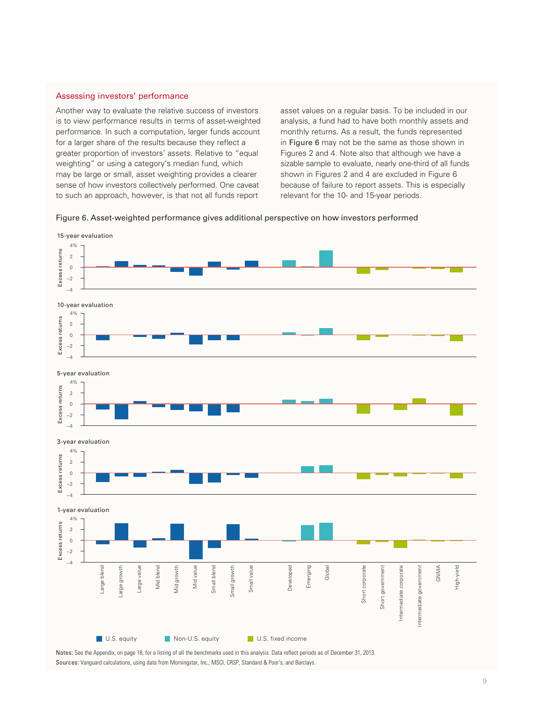### Assessing investors' performance

Another way to evaluate the relative success of investors is to view performance results in terms of asset-weighted performance. In such a computation, larger funds account for a larger share of the results because they reflect a greater proportion of investors' assets. Relative to "equal weighting" or using a category's median fund, which may be large or small, asset weighting provides a clearer sense of how investors collectively performed. One caveat to such an approach, however, is that not all funds report

asset values on a regular basis. To be included in our analysis, a fund had to have both monthly assets and monthly returns. As a result, the funds represented in Figure 6 may not be the same as those shown in Figures 2 and 4. Note also that although we have a sizable sample to evaluate, nearly one-third of all funds shown in Figures 2 and 4 are excluded in Figure 6 because of failure to report assets. This is especially relevant for the 10- and 15-year periods.





Notes: See the Appendix, on page 18, for a listing of all the benchmarks used in this analysis. Data reflect periods as of December 31, 2013. Sources: Vanguard calculations, using data from Morningstar, Inc., MSCI, CRSP, Standard & Poor's, and Barclays.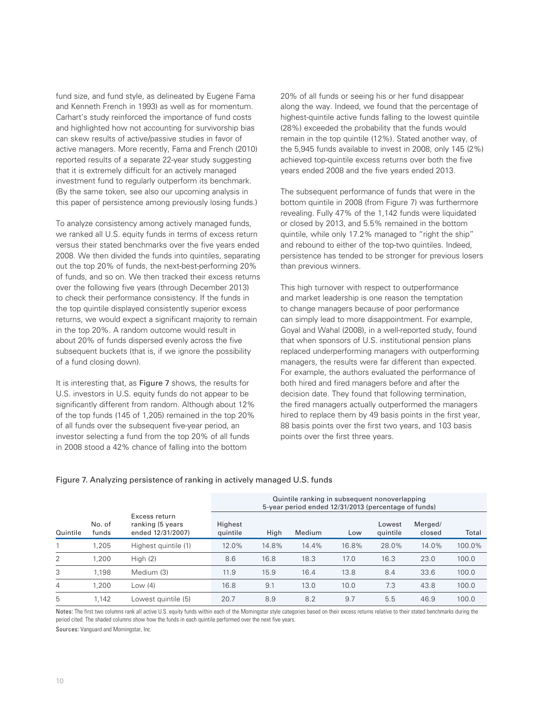fund size, and fund style, as delineated by Eugene Fama and Kenneth French in 1993) as well as for momentum. Carhart's study reinforced the importance of fund costs and highlighted how not accounting for survivorship bias can skew results of active/passive studies in favor of active managers. More recently, Fama and French (2010) reported results of a separate 22-year study suggesting that it is extremely difficult for an actively managed investment fund to regularly outperform its benchmark. (By the same token, see also our upcoming analysis in this paper of persistence among previously losing funds.)

To analyze consistency among actively managed funds, we ranked all U.S. equity funds in terms of excess return versus their stated benchmarks over the five years ended 2008. We then divided the funds into quintiles, separating out the top 20% of funds, the next-best-performing 20% of funds, and so on. We then tracked their excess returns over the following five years (through December 2013) to check their performance consistency. If the funds in the top quintile displayed consistently superior excess returns, we would expect a significant majority to remain in the top 20%. A random outcome would result in about 20% of funds dispersed evenly across the five subsequent buckets (that is, if we ignore the possibility of a fund closing down).

It is interesting that, as Figure 7 shows, the results for U.S. investors in U.S. equity funds do not appear to be significantly different from random. Although about 12% of the top funds (145 of 1,205) remained in the top 20% of all funds over the subsequent five-year period, an investor selecting a fund from the top 20% of all funds in 2008 stood a 42% chance of falling into the bottom

20% of all funds or seeing his or her fund disappear along the way. Indeed, we found that the percentage of highest-quintile active funds falling to the lowest quintile (28%) exceeded the probability that the funds would remain in the top quintile (12%). Stated another way, of the 5,945 funds available to invest in 2008, only 145 (2%) achieved top-quintile excess returns over both the five years ended 2008 and the five years ended 2013.

The subsequent performance of funds that were in the bottom quintile in 2008 (from Figure 7) was furthermore revealing. Fully 47% of the 1,142 funds were liquidated or closed by 2013, and 5.5% remained in the bottom quintile, while only 17.2% managed to "right the ship" and rebound to either of the top-two quintiles. Indeed, persistence has tended to be stronger for previous losers than previous winners.

This high turnover with respect to outperformance and market leadership is one reason the temptation to change managers because of poor performance can simply lead to more disappointment. For example, Goyal and Wahal (2008), in a well-reported study, found that when sponsors of U.S. institutional pension plans replaced underperforming managers with outperforming managers, the results were far different than expected. For example, the authors evaluated the performance of both hired and fired managers before and after the decision date. They found that following termination, the fired managers actually outperformed the managers hired to replace them by 49 basis points in the first year, 88 basis points over the first two years, and 103 basis points over the first three years.

Quintile ranking in subsequent nonoverlapping

|          |                 |                                                        |                     |       | gammo ramming in sabsoquont nonovonapping<br>5-year period ended 12/31/2013 (percentage of funds) |       |                    |                   |        |
|----------|-----------------|--------------------------------------------------------|---------------------|-------|---------------------------------------------------------------------------------------------------|-------|--------------------|-------------------|--------|
| Quintile | No. of<br>funds | Excess return<br>ranking (5 years<br>ended 12/31/2007) | Highest<br>quintile | High  | Medium                                                                                            | Low   | Lowest<br>quintile | Merged/<br>closed | Total  |
|          | 1,205           | Highest quintile (1)                                   | 12.0%               | 14.8% | 14.4%                                                                                             | 16.8% | 28.0%              | 14.0%             | 100.0% |
| 2        | 1,200           | High $(2)$                                             | 8.6                 | 16.8  | 18.3                                                                                              | 17.0  | 16.3               | 23.0              | 100.0  |
| 3        | 1.198           | Medium (3)                                             | 11.9                | 15.9  | 16.4                                                                                              | 13.8  | 8.4                | 33.6              | 100.0  |
| 4        | 1.200           | Low (4)                                                | 16.8                | 9.1   | 13.0                                                                                              | 10.0  | 7.3                | 43.8              | 100.0  |
| 5        | 1.142           | Lowest quintile (5)                                    | 20.7                | 8.9   | 8.2                                                                                               | 9.7   | 5.5                | 46.9              | 100.0  |

# Figure 7. Analyzing persistence of ranking in actively managed U.S. funds

Notes: The first two columns rank all active U.S. equity funds within each of the Morningstar style categories based on their excess returns relative to their stated benchmarks during the period cited. The shaded columns show how the funds in each quintile performed over the next five years.

Sources: Vanguard and Morningstar, Inc.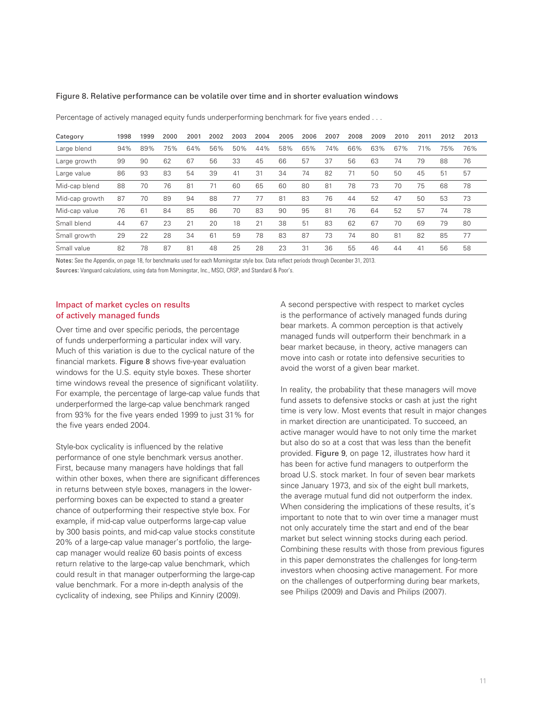### Figure 8. Relative performance can be volatile over time and in shorter evaluation windows

Category 1998 1999 2000 2001 2002 2003 2004 2005 2006 2007 2008 2009 2010 2011 2012 2013 Large blend 94% 89% 75% 64% 56% 50% 44% 58% 65% 74% 66% 63% 67% 71% 75% 76% Large growth 99 90 62 67 56 33 45 66 57 37 56 63 74 79 88 76 Large value 86 93 83 54 39 41 31 34 74 82 71 50 50 45 51 57 Mid-cap blend 88 70 76 81 71 60 65 60 80 81 78 73 70 75 68 78 Mid-cap growth 87 70 89 94 88 77 77 81 83 76 44 52 47 50 53 73 Mid-cap value 76 61 84 85 86 70 83 90 95 81 76 64 52 57 74 78 Small blend 44 67 23 21 20 18 21 38 51 83 62 67 70 69 79 80 Small growth 29 22 28 34 61 59 78 83 87 73 74 80 81 82 85 77 Small value 82 78 87 81 48 25 28 23 31 36 55 46 44 41 56 58

Percentage of actively managed equity funds underperforming benchmark for five years ended . . .

Notes: See the Appendix, on page 18, for benchmarks used for each Morningstar style box. Data reflect periods through December 31, 2013.

Sources: Vanguard calculations, using data from Morningstar, Inc., MSCI, CRSP, and Standard & Poor's.

# Impact of market cycles on results of actively managed funds

Over time and over specific periods, the percentage of funds underperforming a particular index will vary. Much of this variation is due to the cyclical nature of the financial markets. Figure 8 shows five-year evaluation windows for the U.S. equity style boxes. These shorter time windows reveal the presence of significant volatility. For example, the percentage of large-cap value funds that underperformed the large-cap value benchmark ranged from 93% for the five years ended 1999 to just 31% for the five years ended 2004.

Style-box cyclicality is influenced by the relative performance of one style benchmark versus another. First, because many managers have holdings that fall within other boxes, when there are significant differences in returns between style boxes, managers in the lowerperforming boxes can be expected to stand a greater chance of outperforming their respective style box. For example, if mid-cap value outperforms large-cap value by 300 basis points, and mid-cap value stocks constitute 20% of a large-cap value manager's portfolio, the largecap manager would realize 60 basis points of excess return relative to the large-cap value benchmark, which could result in that manager outperforming the large-cap value benchmark. For a more in-depth analysis of the cyclicality of indexing, see Philips and Kinniry (2009).

A second perspective with respect to market cycles is the performance of actively managed funds during bear markets. A common perception is that actively managed funds will outperform their benchmark in a bear market because, in theory, active managers can move into cash or rotate into defensive securities to avoid the worst of a given bear market.

In reality, the probability that these managers will move fund assets to defensive stocks or cash at just the right time is very low. Most events that result in major changes in market direction are unanticipated. To succeed, an active manager would have to not only time the market but also do so at a cost that was less than the benefit provided. Figure 9, on page 12, illustrates how hard it has been for active fund managers to outperform the broad U.S. stock market. In four of seven bear markets since January 1973, and six of the eight bull markets, the average mutual fund did not outperform the index. When considering the implications of these results, it's important to note that to win over time a manager must not only accurately time the start and end of the bear market but select winning stocks during each period. Combining these results with those from previous figures in this paper demonstrates the challenges for long-term investors when choosing active management. For more on the challenges of outperforming during bear markets, see Philips (2009) and Davis and Philips (2007).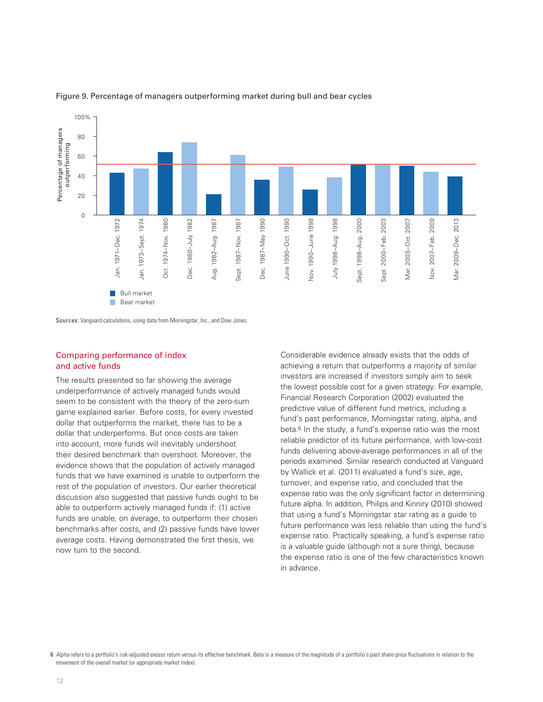

### Figure 9. Percentage of managers outperforming market during bull and bear cycles

Sources: Vanguard calculations, using data from Morningstar, Inc., and Dow Jones.

## Comparing performance of index and active funds

The results presented so far showing the average underperformance of actively managed funds would seem to be consistent with the theory of the zero-sum game explained earlier. Before costs, for every invested dollar that outperforms the market, there has to be a dollar that underperforms. But once costs are taken into account, more funds will inevitably undershoot their desired benchmark than overshoot. Moreover, the evidence shows that the population of actively managed funds that we have examined is unable to outperform the rest of the population of investors. Our earlier theoretical discussion also suggested that passive funds ought to be able to outperform actively managed funds if: (1) active funds are unable, on average, to outperform their chosen benchmarks after costs, and (2) passive funds have lower average costs. Having demonstrated the first thesis, we now turn to the second.

Considerable evidence already exists that the odds of achieving a return that outperforms a majority of similar investors are increased if investors simply aim to seek the lowest possible cost for a given strategy. For example, Financial Research Corporation (2002) evaluated the predictive value of different fund metrics, including a fund's past performance, Morningstar rating, alpha, and beta.<sup>6</sup> In the study, a fund's expense ratio was the most reliable predictor of its future performance, with low-cost funds delivering above-average performances in all of the periods examined. Similar research conducted at Vanguard by Wallick et al. (2011) evaluated a fund's size, age, turnover, and expense ratio, and concluded that the expense ratio was the only significant factor in determining future alpha. In addition, Philips and Kinniry (2010) showed that using a fund's Morningstar star rating as a guide to future performance was less reliable than using the fund's expense ratio. Practically speaking, a fund's expense ratio is a valuable guide (although not a sure thing), because the expense ratio is one of the few characteristics known in advance.

6 *Alpha* refers to a portfolio's risk-adjusted excess return versus its effective benchmark. Beta is a measure of the magnitude of a portfolio's past share-price fluctuations in relation to the movement of the overall market (or appropriate market index).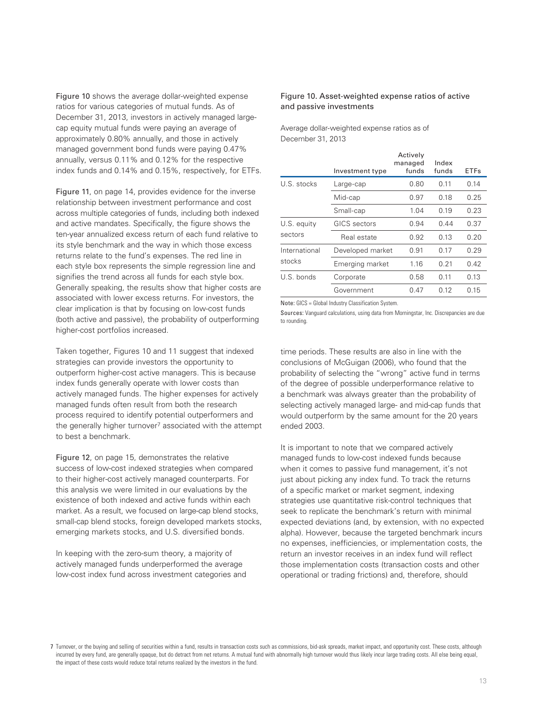Figure 10 shows the average dollar-weighted expense ratios for various categories of mutual funds. As of December 31, 2013, investors in actively managed largecap equity mutual funds were paying an average of approximately 0.80% annually, and those in actively managed government bond funds were paying 0.47% annually, versus 0.11% and 0.12% for the respective index funds and 0.14% and 0.15%, respectively, for ETFs.

Figure 11, on page 14, provides evidence for the inverse relationship between investment performance and cost across multiple categories of funds, including both indexed and active mandates. Specifically, the figure shows the ten-year annualized excess return of each fund relative to its style benchmark and the way in which those excess returns relate to the fund's expenses. The red line in each style box represents the simple regression line and signifies the trend across all funds for each style box. Generally speaking, the results show that higher costs are associated with lower excess returns. For investors, the clear implication is that by focusing on low-cost funds (both active and passive), the probability of outperforming higher-cost portfolios increased.

Taken together, Figures 10 and 11 suggest that indexed strategies can provide investors the opportunity to outperform higher-cost active managers. This is because index funds generally operate with lower costs than actively managed funds. The higher expenses for actively managed funds often result from both the research process required to identify potential outperformers and the generally higher turnover<sup>7</sup> associated with the attempt to best a benchmark.

Figure 12, on page 15, demonstrates the relative success of low-cost indexed strategies when compared to their higher-cost actively managed counterparts. For this analysis we were limited in our evaluations by the existence of both indexed and active funds within each market. As a result, we focused on large-cap blend stocks, small-cap blend stocks, foreign developed markets stocks, emerging markets stocks, and U.S. diversified bonds.

In keeping with the zero-sum theory, a majority of actively managed funds underperformed the average low-cost index fund across investment categories and

## Figure 10. Asset-weighted expense ratios of active and passive investments

Average dollar-weighted expense ratios as of December 31, 2013

|               | Investment type  | Actively<br>managed<br>funds | Index<br>funds | <b>ETFs</b> |
|---------------|------------------|------------------------------|----------------|-------------|
| U.S. stocks   | Large-cap        | 0.80                         | 0.11           | 0.14        |
|               | Mid-cap          | 0.97                         | 0.18           | 0.25        |
|               | Small-cap        | 1.04                         | 0.19           | 0.23        |
| U.S. equity   | GICS sectors     | 0.94                         | 0.44           | 0.37        |
| sectors       | Real estate      | 0.92                         | 0.13           | 0.20        |
| International | Developed market | 0.91                         | 0.17           | 0.29        |
| stocks        | Emerging market  | 1.16                         | 0.21           | 0.42        |
| U.S. bonds    | Corporate        | 0.58                         | 0.11           | 0.13        |
|               | Government       | 0.47                         | 0.12           | 0.15        |

Note: GICS = Global Industry Classification System.

Sources: Vanguard calculations, using data from Morningstar, Inc. Discrepancies are due to rounding.

time periods. These results are also in line with the conclusions of McGuigan (2006), who found that the probability of selecting the "wrong" active fund in terms of the degree of possible underperformance relative to a benchmark was always greater than the probability of selecting actively managed large- and mid-cap funds that would outperform by the same amount for the 20 years ended 2003.

It is important to note that we compared actively managed funds to low-cost indexed funds because when it comes to passive fund management, it's not just about picking any index fund. To track the returns of a specific market or market segment, indexing strategies use quantitative risk-control techniques that seek to replicate the benchmark's return with minimal expected deviations (and, by extension, with no expected alpha). However, because the targeted benchmark incurs no expenses, inefficiencies, or implementation costs, the return an investor receives in an index fund will reflect those implementation costs (transaction costs and other operational or trading frictions) and, therefore, should

<sup>7</sup> Turnover, or the buying and selling of securities within a fund, results in transaction costs such as commissions, bid-ask spreads, market impact, and opportunity cost. These costs, although incurred by every fund, are generally opaque, but do detract from net returns. A mutual fund with abnormally high turnover would thus likely incur large trading costs. All else being equal, the impact of these costs would reduce total returns realized by the investors in the fund.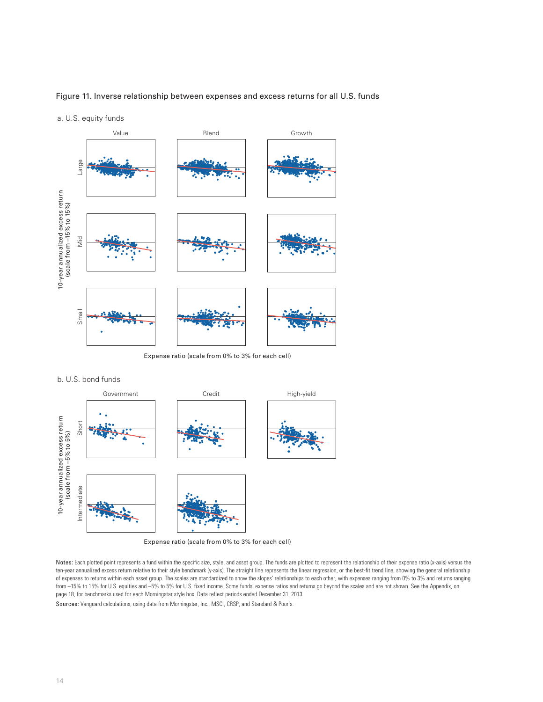### Figure 11. Inverse relationship between expenses and excess returns for all U.S. funds

a. U.S. equity funds



Expense ratio (scale from 0% to 3% for each cell)





Notes: Each plotted point represents a fund within the specific size, style, and asset group. The funds are plotted to represent the relationship of their expense ratio (x-axis) versus the ten-year annualized excess return relative to their style benchmark (y-axis). The straight line represents the linear regression, or the best-fit trend line, showing the general relationship of expenses to returns within each asset group. The scales are standardized to show the slopes' relationships to each other, with expenses ranging from 0% to 3% and returns ranging from -15% to 15% for U.S. equities and -5% to 5% for U.S. fixed income. Some funds' expense ratios and returns go beyond the scales and are not shown. See the Appendix, on page 18, for benchmarks used for each Morningstar style box. Data reflect periods ended December 31, 2013.

Sources: Vanguard calculations, using data from Morningstar, Inc., MSCI, CRSP, and Standard & Poor's.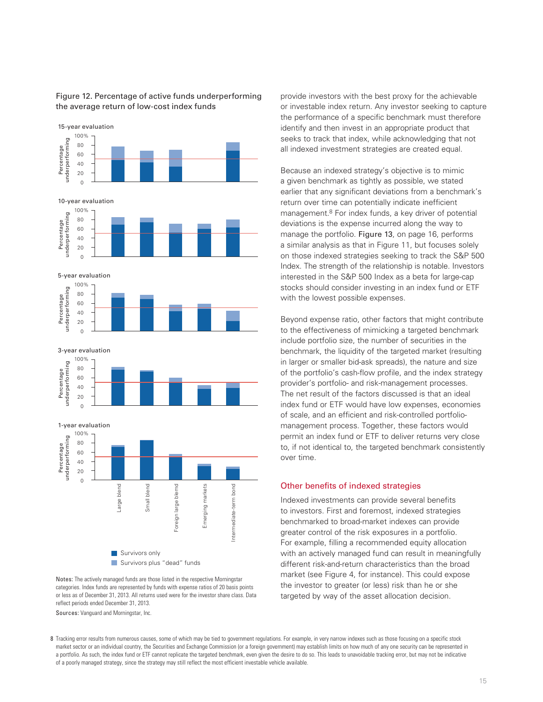

# Figure 12. Percentage of active funds underperforming the average return of low-cost index funds

Notes: The actively managed funds are those listed in the respective Morningstar categories. Index funds are represented by funds with expense ratios of 20 basis points or less as of December 31, 2013. All returns used were for the investor share class. Data reflect periods ended December 31, 2013.

Sources: Vanguard and Morningstar, Inc.

provide investors with the best proxy for the achievable or investable index return. Any investor seeking to capture the performance of a specific benchmark must therefore identify and then invest in an appropriate product that seeks to track that index, while acknowledging that not all indexed investment strategies are created equal.

Because an indexed strategy's objective is to mimic a given benchmark as tightly as possible, we stated earlier that any significant deviations from a benchmark's return over time can potentially indicate inefficient management.8 For index funds, a key driver of potential deviations is the expense incurred along the way to manage the portfolio. Figure 13, on page 16, performs a similar analysis as that in Figure 11, but focuses solely on those indexed strategies seeking to track the S&P 500 Index. The strength of the relationship is notable. Investors interested in the S&P 500 Index as a beta for large-cap stocks should consider investing in an index fund or ETF with the lowest possible expenses.

Beyond expense ratio, other factors that might contribute to the effectiveness of mimicking a targeted benchmark include portfolio size, the number of securities in the benchmark, the liquidity of the targeted market (resulting in larger or smaller bid-ask spreads), the nature and size of the portfolio's cash-flow profile, and the index strategy provider's portfolio- and risk-management processes. The net result of the factors discussed is that an ideal index fund or ETF would have low expenses, economies of scale, and an efficient and risk-controlled portfoliomanagement process. Together, these factors would permit an index fund or ETF to deliver returns very close to, if not identical to, the targeted benchmark consistently over time.

## Other benefits of indexed strategies

Indexed investments can provide several benefits to investors. First and foremost, indexed strategies benchmarked to broad-market indexes can provide greater control of the risk exposures in a portfolio. For example, filling a recommended equity allocation with an actively managed fund can result in meaningfully different risk-and-return characteristics than the broad market (see Figure 4, for instance). This could expose the investor to greater (or less) risk than he or she targeted by way of the asset allocation decision.

8 Tracking error results from numerous causes, some of which may be tied to government regulations. For example, in very narrow indexes such as those focusing on a specific stock market sector or an individual country, the Securities and Exchange Commission (or a foreign government) may establish limits on how much of any one security can be represented in a portfolio. As such, the index fund or ETF cannot replicate the targeted benchmark, even given the desire to do so. This leads to unavoidable tracking error, but may not be indicative of a poorly managed strategy, since the strategy may still reflect the most efficient investable vehicle available.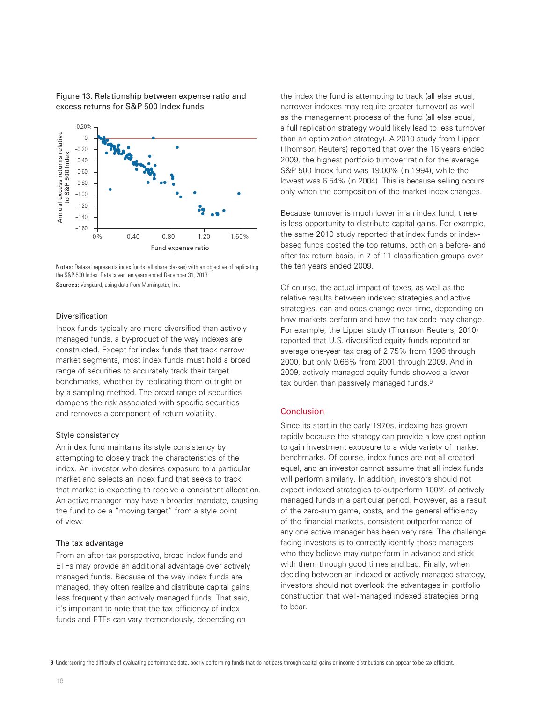Figure 13. Relationship between expense ratio and excess returns for S&P 500 Index funds



Notes: Dataset represents index funds (all share classes) with an objective of replicating the S&P 500 Index. Data cover ten years ended December 31, 2013. Sources: Vanguard, using data from Morningstar, Inc.

# Diversification

Index funds typically are more diversified than actively managed funds, a by-product of the way indexes are constructed. Except for index funds that track narrow market segments, most index funds must hold a broad range of securities to accurately track their target benchmarks, whether by replicating them outright or by a sampling method. The broad range of securities dampens the risk associated with specific securities and removes a component of return volatility.

#### Style consistency

An index fund maintains its style consistency by attempting to closely track the characteristics of the index. An investor who desires exposure to a particular market and selects an index fund that seeks to track that market is expecting to receive a consistent allocation. An active manager may have a broader mandate, causing the fund to be a "moving target" from a style point of view.

## The tax advantage

From an after-tax perspective, broad index funds and ETFs may provide an additional advantage over actively managed funds. Because of the way index funds are managed, they often realize and distribute capital gains less frequently than actively managed funds. That said, it's important to note that the tax efficiency of index funds and ETFs can vary tremendously, depending on

the index the fund is attempting to track (all else equal, narrower indexes may require greater turnover) as well as the management process of the fund (all else equal, a full replication strategy would likely lead to less turnover than an optimization strategy). A 2010 study from Lipper (Thomson Reuters) reported that over the 16 years ended 2009, the highest portfolio turnover ratio for the average S&P 500 Index fund was 19.00% (in 1994), while the lowest was 6.54% (in 2004). This is because selling occurs only when the composition of the market index changes.

Because turnover is much lower in an index fund, there is less opportunity to distribute capital gains. For example, the same 2010 study reported that index funds or indexbased funds posted the top returns, both on a before- and after-tax return basis, in 7 of 11 classification groups over the ten years ended 2009.

Of course, the actual impact of taxes, as well as the relative results between indexed strategies and active strategies, can and does change over time, depending on how markets perform and how the tax code may change. For example, the Lipper study (Thomson Reuters, 2010) reported that U.S. diversified equity funds reported an average one-year tax drag of 2.75% from 1996 through 2000, but only 0.68% from 2001 through 2009. And in 2009, actively managed equity funds showed a lower tax burden than passively managed funds.<sup>9</sup>

#### Conclusion

Since its start in the early 1970s, indexing has grown rapidly because the strategy can provide a low-cost option to gain investment exposure to a wide variety of market benchmarks. Of course, index funds are not all created equal, and an investor cannot assume that all index funds will perform similarly. In addition, investors should not expect indexed strategies to outperform 100% of actively managed funds in a particular period. However, as a result of the zero-sum game, costs, and the general efficiency of the financial markets, consistent outperformance of any one active manager has been very rare. The challenge facing investors is to correctly identify those managers who they believe may outperform in advance and stick with them through good times and bad. Finally, when deciding between an indexed or actively managed strategy, investors should not overlook the advantages in portfolio construction that well-managed indexed strategies bring to bear.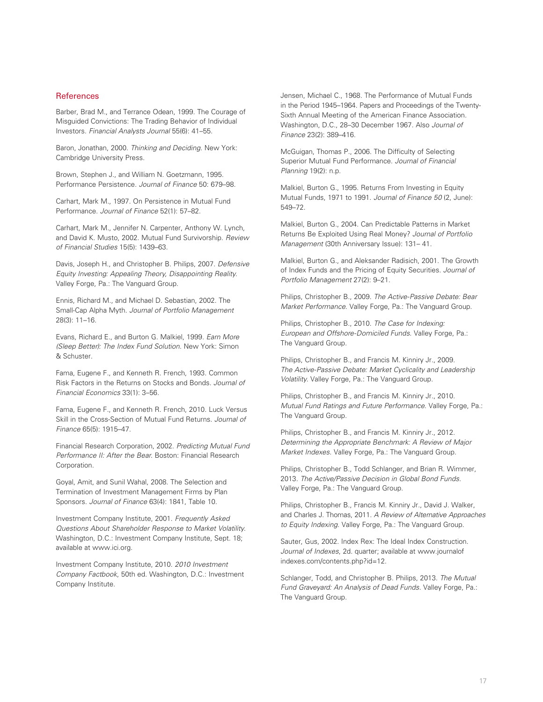### **References**

Barber, Brad M., and Terrance Odean, 1999. The Courage of Misguided Convictions: The Trading Behavior of Individual Investors. *Financial Analysts Journal* 55(6): 41–55.

Baron, Jonathan, 2000. *Thinking and Deciding*. New York: Cambridge University Press.

Brown, Stephen J., and William N. Goetzmann, 1995. Performance Persistence. *Journal of Finance* 50: 679–98.

Carhart, Mark M., 1997. On Persistence in Mutual Fund Performance. *Journal of Finance* 52(1): 57–82.

Carhart, Mark M., Jennifer N. Carpenter, Anthony W. Lynch, and David K. Musto, 2002. Mutual Fund Survivorship. *Review of Financial Studies* 15(5): 1439–63.

Davis, Joseph H., and Christopher B. Philips, 2007. *Defensive Equity Investing: Appealing Theory, Disappointing Reality*. Valley Forge, Pa.: The Vanguard Group.

Ennis, Richard M., and Michael D. Sebastian, 2002. The Small-Cap Alpha Myth. *Journal of Portfolio Management*  28(3): 11–16.

Evans, Richard E., and Burton G. Malkiel, 1999. *Earn More (Sleep Better): The Index Fund Solution*. New York: Simon & Schuster.

Fama, Eugene F., and Kenneth R. French, 1993. Common Risk Factors in the Returns on Stocks and Bonds. *Journal of Financial Economics* 33(1): 3–56.

Fama, Eugene F., and Kenneth R. French, 2010. Luck Versus Skill in the Cross-Section of Mutual Fund Returns. *Journal of Finance* 65(5): 1915–47.

Financial Research Corporation, 2002. *Predicting Mutual Fund Performance II: After the Bear*. Boston: Financial Research Corporation.

Goyal, Amit, and Sunil Wahal, 2008. The Selection and Termination of Investment Management Firms by Plan Sponsors. *Journal of Finance* 63(4): 1841, Table 10.

Investment Company Institute, 2001. *Frequently Asked Questions About Shareholder Response to Market Volatility*. Washington, D.C.: Investment Company Institute, Sept. 18; available at www.ici.org.

Investment Company Institute, 2010. *2010 Investment Company Factbook*, 50th ed. Washington, D.C.: Investment Company Institute.

Jensen, Michael C., 1968. The Performance of Mutual Funds in the Period 1945–1964. Papers and Proceedings of the Twenty-Sixth Annual Meeting of the American Finance Association. Washington, D.C., 28–30 December 1967. Also *Journal of Finance* 23(2): 389–416.

McGuigan, Thomas P., 2006. The Difficulty of Selecting Superior Mutual Fund Performance. *Journal of Financial Planning* 19(2): n.p.

Malkiel, Burton G., 1995. Returns From Investing in Equity Mutual Funds, 1971 to 1991. *Journal of Finance 50* (2, June): 549–72.

Malkiel, Burton G., 2004. Can Predictable Patterns in Market Returns Be Exploited Using Real Money? *Journal of Portfolio Management* (30th Anniversary Issue): 131– 41.

Malkiel, Burton G., and Aleksander Radisich, 2001. The Growth of Index Funds and the Pricing of Equity Securities. *Journal of Portfolio Management* 27(2): 9–21.

Philips, Christopher B., 2009. *The Active-Passive Debate: Bear Market Performance*. Valley Forge, Pa.: The Vanguard Group.

Philips, Christopher B., 2010. *The Case for Indexing: European and Offshore-Domiciled Funds*. Valley Forge, Pa.: The Vanguard Group.

Philips, Christopher B., and Francis M. Kinniry Jr., 2009. *The Active-Passive Debate: Market Cyclicality and Leadership Volatility*. Valley Forge, Pa.: The Vanguard Group.

Philips, Christopher B., and Francis M. Kinniry Jr., 2010. *Mutual Fund Ratings and Future Performance*. Valley Forge, Pa.: The Vanguard Group.

Philips, Christopher B., and Francis M. Kinniry Jr., 2012. *Determining the Appropriate Benchmark: A Review of Major Market Indexes*. Valley Forge, Pa.: The Vanguard Group.

Philips, Christopher B., Todd Schlanger, and Brian R. Wimmer, 2013. *The Active/Passive Decision in Global Bond Funds*. Valley Forge, Pa.: The Vanguard Group.

Philips, Christopher B., Francis M. Kinniry Jr., David J. Walker, and Charles J. Thomas, 2011. *A Review of Alternative Approaches to Equity Indexing*. Valley Forge, Pa.: The Vanguard Group.

Sauter, Gus, 2002. Index Rex: The Ideal Index Construction. *Journal of Indexes*, 2d. quarter; available at www.journalof indexes.com/contents.php?id=12.

Schlanger, Todd, and Christopher B. Philips, 2013. *The Mutual Fund Graveyard: An Analysis of Dead Funds*. Valley Forge, Pa.: The Vanguard Group.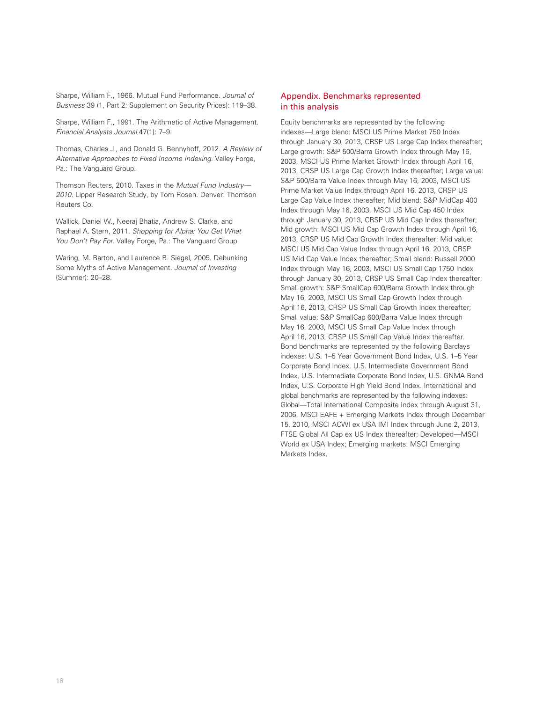Sharpe, William F., 1966. Mutual Fund Performance. *Journal of Business* 39 (1, Part 2: Supplement on Security Prices): 119–38.

Sharpe, William F., 1991. The Arithmetic of Active Management. *Financial Analysts Journal* 47(1): 7–9.

Thomas, Charles J., and Donald G. Bennyhoff, 2012. *A Review of Alternative Approaches to Fixed Income Indexing*. Valley Forge, Pa.: The Vanguard Group.

Thomson Reuters, 2010. Taxes in the *Mutual Fund Industry— 2010*. Lipper Research Study, by Tom Rosen. Denver: Thomson Reuters Co.

Wallick, Daniel W., Neeraj Bhatia, Andrew S. Clarke, and Raphael A. Stern, 2011. *Shopping for Alpha: You Get What You Don't Pay For*. Valley Forge, Pa.: The Vanguard Group.

Waring, M. Barton, and Laurence B. Siegel, 2005. Debunking Some Myths of Active Management. *Journal of Investing*  (Summer): 20–28.

## Appendix. Benchmarks represented in this analysis

Equity benchmarks are represented by the following indexes—Large blend: MSCI US Prime Market 750 Index through January 30, 2013, CRSP US Large Cap Index thereafter; Large growth: S&P 500/Barra Growth Index through May 16, 2003, MSCI US Prime Market Growth Index through April 16, 2013, CRSP US Large Cap Growth Index thereafter; Large value: S&P 500/Barra Value Index through May 16, 2003, MSCI US Prime Market Value Index through April 16, 2013, CRSP US Large Cap Value Index thereafter; Mid blend: S&P MidCap 400 Index through May 16, 2003, MSCI US Mid Cap 450 Index through January 30, 2013, CRSP US Mid Cap Index thereafter; Mid growth: MSCI US Mid Cap Growth Index through April 16, 2013, CRSP US Mid Cap Growth Index thereafter; Mid value: MSCI US Mid Cap Value Index through April 16, 2013, CRSP US Mid Cap Value Index thereafter; Small blend: Russell 2000 Index through May 16, 2003, MSCI US Small Cap 1750 Index through January 30, 2013, CRSP US Small Cap Index thereafter; Small growth: S&P SmallCap 600/Barra Growth Index through May 16, 2003, MSCI US Small Cap Growth Index through April 16, 2013, CRSP US Small Cap Growth Index thereafter; Small value: S&P SmallCap 600/Barra Value Index through May 16, 2003, MSCI US Small Cap Value Index through April 16, 2013, CRSP US Small Cap Value Index thereafter. Bond benchmarks are represented by the following Barclays indexes: U.S. 1–5 Year Government Bond Index, U.S. 1–5 Year Corporate Bond Index, U.S. Intermediate Government Bond Index, U.S. Intermediate Corporate Bond Index, U.S. GNMA Bond Index, U.S. Corporate High Yield Bond Index. International and global benchmarks are represented by the following indexes: Global—Total International Composite Index through August 31, 2006, MSCI EAFE + Emerging Markets Index through December 15, 2010, MSCI ACWI ex USA IMI Index through June 2, 2013, FTSE Global All Cap ex US Index thereafter; Developed—MSCI World ex USA Index; Emerging markets: MSCI Emerging Markets Index.